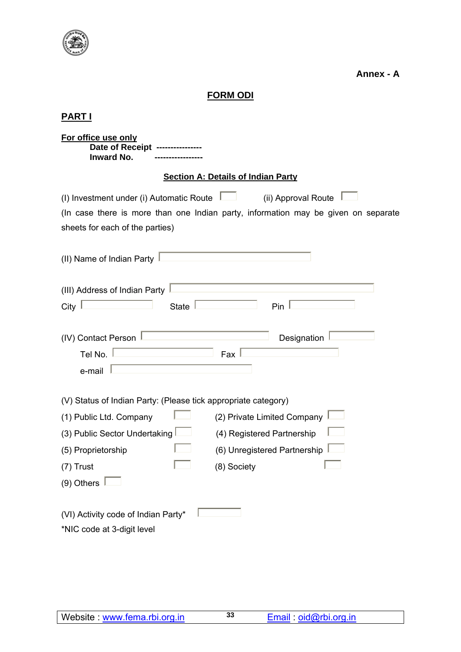

**Annex - A** 

# **FORM ODI**

# **PART I**

| For office use only<br>Date of Receipt<br><b>Inward No.</b>                                                                                                                                                                                                                             |  |  |  |  |
|-----------------------------------------------------------------------------------------------------------------------------------------------------------------------------------------------------------------------------------------------------------------------------------------|--|--|--|--|
| <b>Section A: Details of Indian Party</b>                                                                                                                                                                                                                                               |  |  |  |  |
| (ii) Approval Route<br>(I) Investment under (i) Automatic Route<br>(In case there is more than one Indian party, information may be given on separate<br>sheets for each of the parties)                                                                                                |  |  |  |  |
| (II) Name of Indian Party                                                                                                                                                                                                                                                               |  |  |  |  |
| (III) Address of Indian Party<br>City<br>State<br>Pin                                                                                                                                                                                                                                   |  |  |  |  |
| (IV) Contact Person<br>Designation<br>Tel No.<br>Fax<br>e-mail                                                                                                                                                                                                                          |  |  |  |  |
| (V) Status of Indian Party: (Please tick appropriate category)<br>(2) Private Limited Company<br>(1) Public Ltd. Company<br>(3) Public Sector Undertaking<br>(4) Registered Partnership<br>(6) Unregistered Partnership<br>(5) Proprietorship<br>(7) Trust<br>(8) Society<br>(9) Others |  |  |  |  |
| (VI) Activity code of Indian Party*<br>*NIC code at 3-digit level                                                                                                                                                                                                                       |  |  |  |  |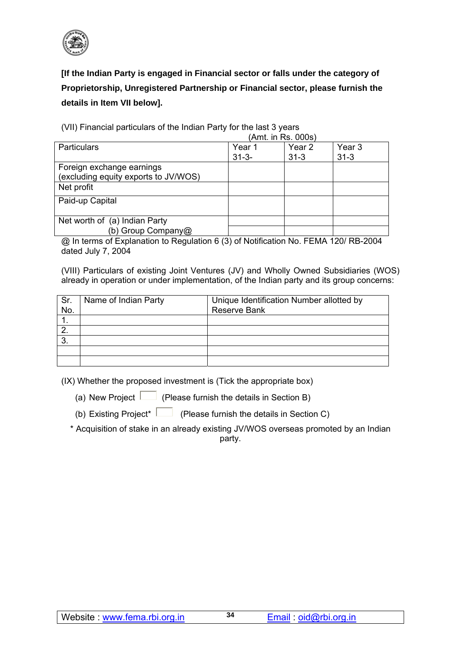

**[If the Indian Party is engaged in Financial sector or falls under the category of Proprietorship, Unregistered Partnership or Financial sector, please furnish the details in Item VII below].** 

(VII) Financial particulars of the Indian Party for the last 3 years  $(Amt)$  in Ps. 000s)

|                                      |            | , רוווג. ווו ולא מטעס |                   |
|--------------------------------------|------------|-----------------------|-------------------|
| <b>Particulars</b>                   | Year 1     | Year <sub>2</sub>     | Year <sub>3</sub> |
|                                      | $31 - 3 -$ | $31 - 3$              | $31 - 3$          |
| Foreign exchange earnings            |            |                       |                   |
| (excluding equity exports to JV/WOS) |            |                       |                   |
| Net profit                           |            |                       |                   |
| Paid-up Capital                      |            |                       |                   |
|                                      |            |                       |                   |
| Net worth of (a) Indian Party        |            |                       |                   |
| (b) Group Company@                   |            |                       |                   |

@ In terms of Explanation to Regulation 6 (3) of Notification No. FEMA 120/ RB-2004 dated July 7, 2004

(VIII) Particulars of existing Joint Ventures (JV) and Wholly Owned Subsidiaries (WOS) already in operation or under implementation, of the Indian party and its group concerns:

| Sr.<br>No. | Name of Indian Party | Unique Identification Number allotted by<br><b>Reserve Bank</b> |
|------------|----------------------|-----------------------------------------------------------------|
|            |                      |                                                                 |
|            |                      |                                                                 |
| 3.         |                      |                                                                 |
|            |                      |                                                                 |
|            |                      |                                                                 |

(IX) Whether the proposed investment is (Tick the appropriate box)

(a) New Project  $\Box$  (Please furnish the details in Section B)

(b) Existing Project\* (Please furnish the details in Section C)

\* Acquisition of stake in an already existing JV/WOS overseas promoted by an Indian party.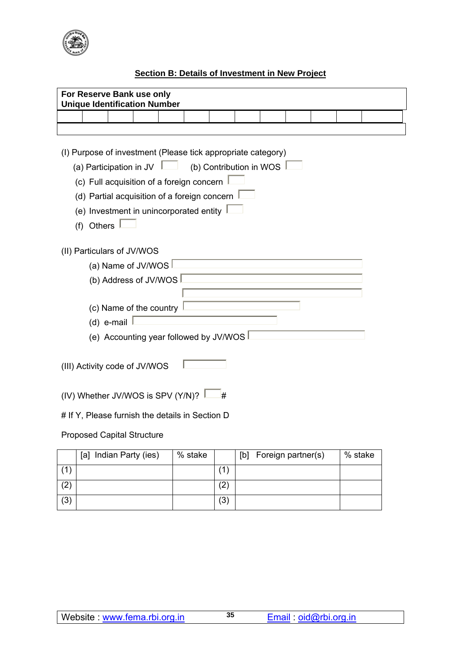

## **Section B: Details of Investment in New Project**

|                                                 | For Reserve Bank use only<br><b>Unique Identification Number</b>                                                                                                                                                                                                                                  |                       |  |  |         |     |     |                    |  |         |  |
|-------------------------------------------------|---------------------------------------------------------------------------------------------------------------------------------------------------------------------------------------------------------------------------------------------------------------------------------------------------|-----------------------|--|--|---------|-----|-----|--------------------|--|---------|--|
|                                                 |                                                                                                                                                                                                                                                                                                   |                       |  |  |         |     |     |                    |  |         |  |
|                                                 |                                                                                                                                                                                                                                                                                                   |                       |  |  |         |     |     |                    |  |         |  |
|                                                 | (I) Purpose of investment (Please tick appropriate category)<br>(a) Participation in JV $\Box$ (b) Contribution in WOS $\Box$<br>(c) Full acquisition of a foreign concern<br>(d) Partial acquisition of a foreign concern $\frac{1}{2}$<br>(e) Investment in unincorporated entity<br>(f) Others |                       |  |  |         |     |     |                    |  |         |  |
|                                                 | (II) Particulars of JV/WOS                                                                                                                                                                                                                                                                        |                       |  |  |         |     |     |                    |  |         |  |
|                                                 |                                                                                                                                                                                                                                                                                                   | (a) Name of JV/WOS    |  |  |         |     |     |                    |  |         |  |
|                                                 |                                                                                                                                                                                                                                                                                                   | (b) Address of JV/WOS |  |  |         |     |     |                    |  |         |  |
|                                                 | (c) Name of the country<br>(d) e-mail<br>(e) Accounting year followed by JV/WOS                                                                                                                                                                                                                   |                       |  |  |         |     |     |                    |  |         |  |
|                                                 | (III) Activity code of JV/WOS                                                                                                                                                                                                                                                                     |                       |  |  |         |     |     |                    |  |         |  |
| (IV) Whether JV/WOS is SPV (Y/N)?<br>#          |                                                                                                                                                                                                                                                                                                   |                       |  |  |         |     |     |                    |  |         |  |
| # If Y, Please furnish the details in Section D |                                                                                                                                                                                                                                                                                                   |                       |  |  |         |     |     |                    |  |         |  |
|                                                 | <b>Proposed Capital Structure</b>                                                                                                                                                                                                                                                                 |                       |  |  |         |     |     |                    |  |         |  |
|                                                 | [a] Indian Party (ies)                                                                                                                                                                                                                                                                            |                       |  |  | % stake |     | [b] | Foreign partner(s) |  | % stake |  |
| (1)                                             |                                                                                                                                                                                                                                                                                                   |                       |  |  |         | (1) |     |                    |  |         |  |

 $(2)$   $(2)$  $(3)$   $(3)$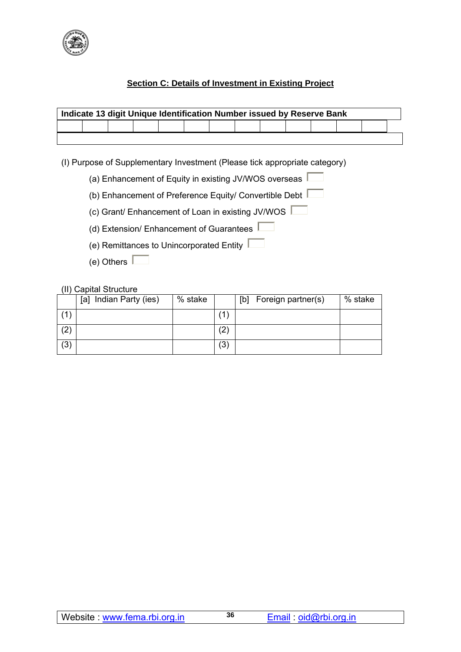

## **Section C: Details of Investment in Existing Project**

| Indicate 13 digit Unique Identification Number issued by Reserve Bank |  |  |  |  |  |  |  |  |  |  |  |
|-----------------------------------------------------------------------|--|--|--|--|--|--|--|--|--|--|--|
|                                                                       |  |  |  |  |  |  |  |  |  |  |  |
|                                                                       |  |  |  |  |  |  |  |  |  |  |  |

(I) Purpose of Supplementary Investment (Please tick appropriate category)

- (a) Enhancement of Equity in existing JV/WOS overseas  $\sqrt{ }$
- (b) Enhancement of Preference Equity/ Convertible Debt  $\Box$
- (c) Grant/ Enhancement of Loan in existing JV/WOS
- (d) Extension/ Enhancement of Guarantees
- (e) Remittances to Unincorporated Entity
- (e) Others  $\Box$

#### (II) Capital Structure

|     | Indian Party (ies)<br>[a] | % stake |                   | Foreign partner(s)<br>[b] | % stake |
|-----|---------------------------|---------|-------------------|---------------------------|---------|
|     |                           |         |                   |                           |         |
| (2) |                           |         | $\left( 2\right)$ |                           |         |
| (3) |                           |         | (3)               |                           |         |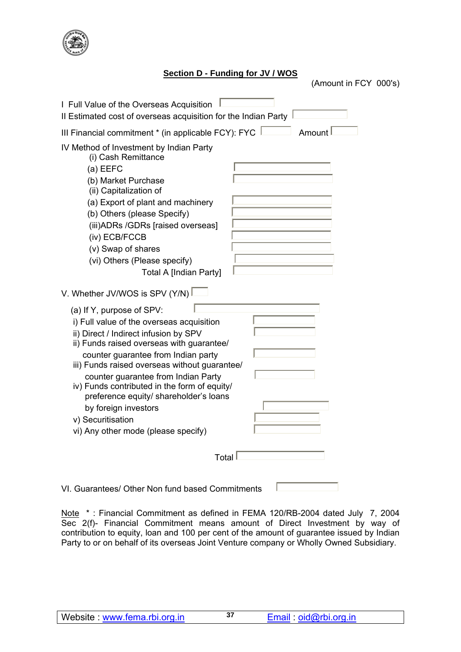

### **Section D - Funding for JV / WOS**

(Amount in FCY 000's)

| I Full Value of the Overseas Acquisition<br>Il Estimated cost of overseas acquisition for the Indian Party                                                                                                                                                                                                                                                                                                                                                                |
|---------------------------------------------------------------------------------------------------------------------------------------------------------------------------------------------------------------------------------------------------------------------------------------------------------------------------------------------------------------------------------------------------------------------------------------------------------------------------|
| III Financial commitment * (in applicable FCY): FYC<br>Amount                                                                                                                                                                                                                                                                                                                                                                                                             |
| IV Method of Investment by Indian Party<br>(i) Cash Remittance<br>$(a)$ EEFC<br>(b) Market Purchase<br>(ii) Capitalization of<br>(a) Export of plant and machinery<br>(b) Others (please Specify)<br>(iii) ADRs / GDRs [raised overseas]<br>(iv) ECB/FCCB<br>(v) Swap of shares<br>(vi) Others (Please specify)<br><b>Total A [Indian Party]</b>                                                                                                                          |
| V. Whether JV/WOS is SPV (Y/N)                                                                                                                                                                                                                                                                                                                                                                                                                                            |
| (a) If Y, purpose of SPV:<br>i) Full value of the overseas acquisition<br>ii) Direct / Indirect infusion by SPV<br>ii) Funds raised overseas with guarantee/<br>counter guarantee from Indian party<br>iii) Funds raised overseas without guarantee/<br>counter guarantee from Indian Party<br>iv) Funds contributed in the form of equity/<br>preference equity/ shareholder's loans<br>by foreign investors<br>v) Securitisation<br>vi) Any other mode (please specify) |
| Total                                                                                                                                                                                                                                                                                                                                                                                                                                                                     |
| VI. Guarantees/ Other Non fund based Commitments                                                                                                                                                                                                                                                                                                                                                                                                                          |

Note \*: Financial Commitment as defined in FEMA 120/RB-2004 dated July 7, 2004 Sec 2(f)- Financial Commitment means amount of Direct Investment by way of contribution to equity, loan and 100 per cent of the amount of guarantee issued by Indian Party to or on behalf of its overseas Joint Venture company or Wholly Owned Subsidiary.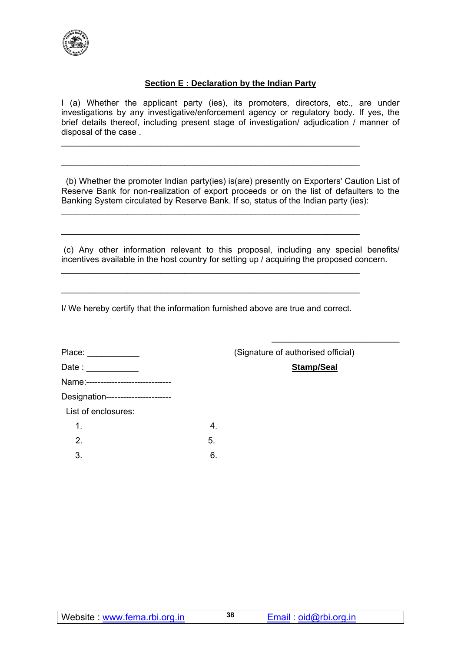

#### **Section E : Declaration by the Indian Party**

I (a) Whether the applicant party (ies), its promoters, directors, etc., are under investigations by any investigative/enforcement agency or regulatory body. If yes, the brief details thereof, including present stage of investigation/ adjudication / manner of disposal of the case .

\_\_\_\_\_\_\_\_\_\_\_\_\_\_\_\_\_\_\_\_\_\_\_\_\_\_\_\_\_\_\_\_\_\_\_\_\_\_\_\_\_\_\_\_\_\_\_\_\_\_\_\_\_\_\_\_\_\_\_\_\_\_\_

\_\_\_\_\_\_\_\_\_\_\_\_\_\_\_\_\_\_\_\_\_\_\_\_\_\_\_\_\_\_\_\_\_\_\_\_\_\_\_\_\_\_\_\_\_\_\_\_\_\_\_\_\_\_\_\_\_\_\_\_\_\_\_

\_\_\_\_\_\_\_\_\_\_\_\_\_\_\_\_\_\_\_\_\_\_\_\_\_\_\_\_\_\_\_\_\_\_\_\_\_\_\_\_\_\_\_\_\_\_\_\_\_\_\_\_\_\_\_\_\_\_\_\_\_\_\_

\_\_\_\_\_\_\_\_\_\_\_\_\_\_\_\_\_\_\_\_\_\_\_\_\_\_\_\_\_\_\_\_\_\_\_\_\_\_\_\_\_\_\_\_\_\_\_\_\_\_\_\_\_\_\_\_\_\_\_\_\_\_\_

\_\_\_\_\_\_\_\_\_\_\_\_\_\_\_\_\_\_\_\_\_\_\_\_\_\_\_\_\_\_\_\_\_\_\_\_\_\_\_\_\_\_\_\_\_\_\_\_\_\_\_\_\_\_\_\_\_\_\_\_\_\_\_

\_\_\_\_\_\_\_\_\_\_\_\_\_\_\_\_\_\_\_\_\_\_\_\_\_\_\_\_\_\_\_\_\_\_\_\_\_\_\_\_\_\_\_\_\_\_\_\_\_\_\_\_\_\_\_\_\_\_\_\_\_\_\_

 (b) Whether the promoter Indian party(ies) is(are) presently on Exporters' Caution List of Reserve Bank for non-realization of export proceeds or on the list of defaulters to the Banking System circulated by Reserve Bank. If so, status of the Indian party (ies):

 (c) Any other information relevant to this proposal, including any special benefits/ incentives available in the host country for setting up / acquiring the proposed concern.

I/ We hereby certify that the information furnished above are true and correct.

| Place: ___________                  |   |
|-------------------------------------|---|
| Date : ____________                 |   |
| Name:------------------------------ |   |
| Designation-----------------------  |   |
| List of enclosures:                 |   |
| 1.                                  |   |
| $\mathcal{P}$                       | 5 |
|                                     |   |

 $3.$  6.

(Signature of authorised official)

Stamp/Seal

 $\mathcal{L}_\text{max}$  , and the set of the set of the set of the set of the set of the set of the set of the set of the set of the set of the set of the set of the set of the set of the set of the set of the set of the set of the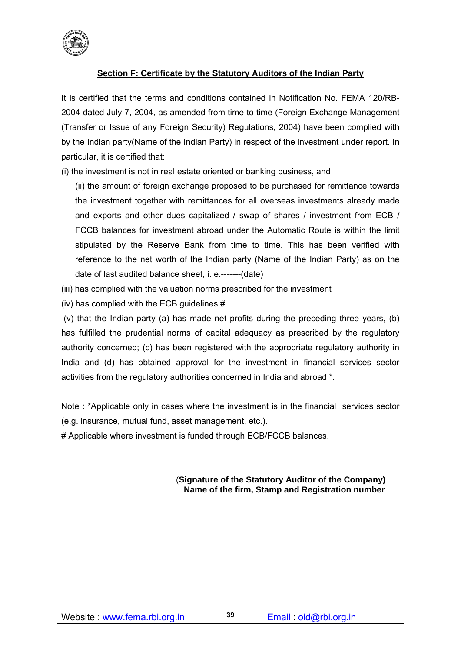

## **Section F: Certificate by the Statutory Auditors of the Indian Party**

It is certified that the terms and conditions contained in Notification No. FEMA 120/RB-2004 dated July 7, 2004, as amended from time to time (Foreign Exchange Management (Transfer or Issue of any Foreign Security) Regulations, 2004) have been complied with by the Indian party(Name of the Indian Party) in respect of the investment under report. In particular, it is certified that:

(i) the investment is not in real estate oriented or banking business, and

(ii) the amount of foreign exchange proposed to be purchased for remittance towards the investment together with remittances for all overseas investments already made and exports and other dues capitalized / swap of shares / investment from ECB / FCCB balances for investment abroad under the Automatic Route is within the limit stipulated by the Reserve Bank from time to time. This has been verified with reference to the net worth of the Indian party (Name of the Indian Party) as on the date of last audited balance sheet, i. e.-------(date)

- (iii) has complied with the valuation norms prescribed for the investment
- (iv) has complied with the ECB guidelines #

 (v) that the Indian party (a) has made net profits during the preceding three years, (b) has fulfilled the prudential norms of capital adequacy as prescribed by the regulatory authority concerned; (c) has been registered with the appropriate regulatory authority in India and (d) has obtained approval for the investment in financial services sector activities from the regulatory authorities concerned in India and abroad \*.

Note : \*Applicable only in cases where the investment is in the financial services sector (e.g. insurance, mutual fund, asset management, etc.).

# Applicable where investment is funded through ECB/FCCB balances.

#### (**Signature of the Statutory Auditor of the Company) Name of the firm, Stamp and Registration number**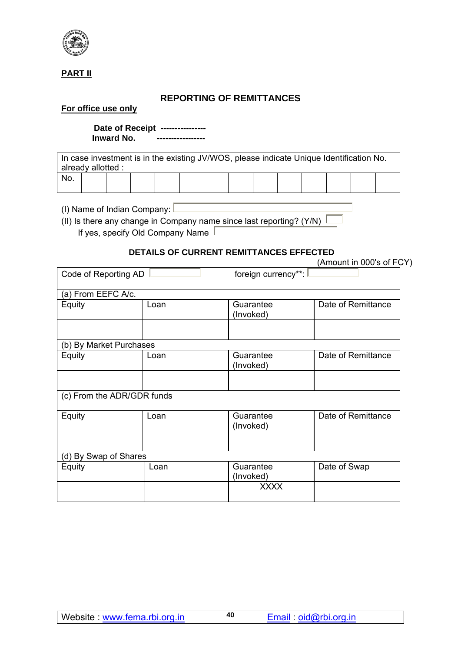

## **PART II**

## **REPORTING OF REMITTANCES**

#### **For office use only**

 **Date of Receipt ---------------- Inward No. -----------------** 

In case investment is in the existing JV/WOS, please indicate Unique Identification No. already allotted : No.

(I) Name of Indian Company:  $\square$ 

(II) Is there any change in Company name since last reporting? (Y/N)  $\sqrt{\frac{1}{1}}$ If yes, specify Old Company Name  $\Box$ 

## **DETAILS OF CURRENT REMITTANCES EFFECTED**

|                            |      | DETAILS OF CORRENT REMITTANCES EFFECTED | (Amount in 000's of FCY) |
|----------------------------|------|-----------------------------------------|--------------------------|
| Code of Reporting AD       |      | foreign currency**:                     |                          |
| (a) From EEFC A/c.         |      |                                         |                          |
| Equity                     | Loan | Guarantee<br>(Invoked)                  | Date of Remittance       |
|                            |      |                                         |                          |
| (b) By Market Purchases    |      |                                         |                          |
| Equity                     | Loan | Guarantee<br>(Invoked)                  | Date of Remittance       |
|                            |      |                                         |                          |
| (c) From the ADR/GDR funds |      |                                         |                          |
| Equity                     | Loan | Guarantee<br>(Invoked)                  | Date of Remittance       |
|                            |      |                                         |                          |
| (d) By Swap of Shares      |      |                                         |                          |
| Equity                     | Loan | Guarantee<br>(Invoked)                  | Date of Swap             |
|                            |      | <b>XXXX</b>                             |                          |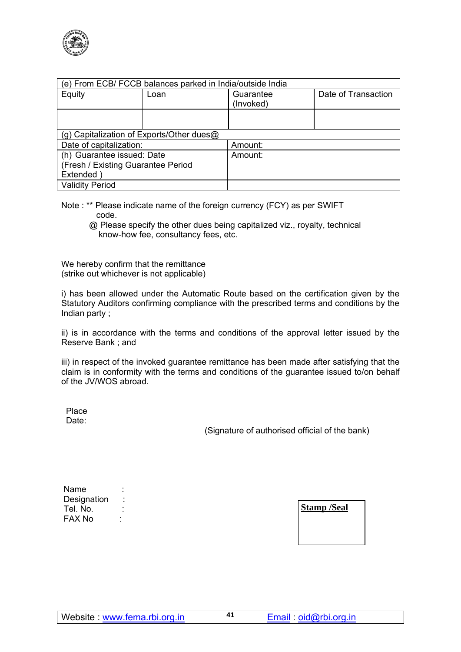

| (e) From ECB/ FCCB balances parked in India/outside India |      |                                  |  |  |  |  |
|-----------------------------------------------------------|------|----------------------------------|--|--|--|--|
| Equity                                                    | Loan | Date of Transaction<br>Guarantee |  |  |  |  |
|                                                           |      | (Invoked)                        |  |  |  |  |
|                                                           |      |                                  |  |  |  |  |
|                                                           |      |                                  |  |  |  |  |
| (g) Capitalization of Exports/Other dues@                 |      |                                  |  |  |  |  |
| Date of capitalization:                                   |      | Amount:                          |  |  |  |  |
| (h) Guarantee issued: Date                                |      | Amount:                          |  |  |  |  |
| (Fresh / Existing Guarantee Period                        |      |                                  |  |  |  |  |
| Extended                                                  |      |                                  |  |  |  |  |
| <b>Validity Period</b>                                    |      |                                  |  |  |  |  |

- Note : \*\* Please indicate name of the foreign currency (FCY) as per SWIFT code.
	- @ Please specify the other dues being capitalized viz., royalty, technical know-how fee, consultancy fees, etc.

We hereby confirm that the remittance (strike out whichever is not applicable)

i) has been allowed under the Automatic Route based on the certification given by the Statutory Auditors confirming compliance with the prescribed terms and conditions by the Indian party ;

ii) is in accordance with the terms and conditions of the approval letter issued by the Reserve Bank ; and

iii) in respect of the invoked guarantee remittance has been made after satisfying that the claim is in conformity with the terms and conditions of the guarantee issued to/on behalf of the JV/WOS abroad.

 Place Date:

(Signature of authorised official of the bank)

| Name        |  |
|-------------|--|
| Designation |  |
| Tel. No.    |  |
| FAX No      |  |

**Stamp /Seal**

Email : oid@rbi.org.in **<sup>41</sup>**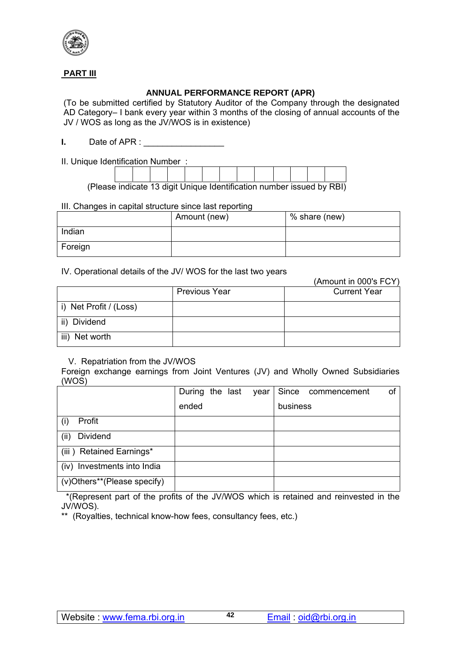

## **PART III**

## **ANNUAL PERFORMANCE REPORT (APR)**

(To be submitted certified by Statutory Auditor of the Company through the designated AD Category– I bank every year within 3 months of the closing of annual accounts of the JV / WOS as long as the JV/WOS is in existence)

**I.** Date of APR :

II. Unique Identification Number :

(Please indicate 13 digit Unique Identification number issued by RBI)

#### III. Changes in capital structure since last reporting

|         | Amount (new) | % share (new) |
|---------|--------------|---------------|
| Indian  |              |               |
| Foreign |              |               |

#### IV. Operational details of the JV/ WOS for the last two years

|                        |                      | (Amount in 000's FCY) |
|------------------------|----------------------|-----------------------|
|                        | <b>Previous Year</b> | <b>Current Year</b>   |
| i) Net Profit / (Loss) |                      |                       |
| ii) Dividend           |                      |                       |
| iii) Net worth         |                      |                       |

#### V. Repatriation from the JV/WOS

Foreign exchange earnings from Joint Ventures (JV) and Wholly Owned Subsidiaries (WOS)

|                                | During the last |  | year |          | Since commencement | of |
|--------------------------------|-----------------|--|------|----------|--------------------|----|
|                                | ended           |  |      | business |                    |    |
| Profit                         |                 |  |      |          |                    |    |
| (ii)<br>Dividend               |                 |  |      |          |                    |    |
| (iii) Retained Earnings*       |                 |  |      |          |                    |    |
| Investments into India<br>(iv) |                 |  |      |          |                    |    |
| (v)Others**(Please specify)    |                 |  |      |          |                    |    |

 \*(Represent part of the profits of the JV/WOS which is retained and reinvested in the JV/WOS).

\*\* (Royalties, technical know-how fees, consultancy fees, etc.)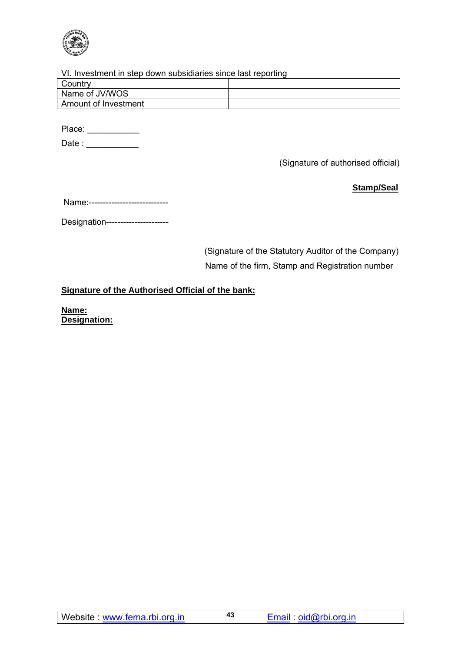

### VI. Investment in step down subsidiaries since last reporting

| Country              |  |
|----------------------|--|
| Name of JV/WOS       |  |
| Amount of Investment |  |
|                      |  |

Place: \_\_\_\_\_\_\_\_\_\_\_\_\_

Date : \_\_\_\_\_\_\_\_\_\_\_\_

(Signature of authorised official)

**Stamp/Seal**

Designation----------------------

 (Signature of the Statutory Auditor of the Company) Name of the firm, Stamp and Registration number

## **Signature of the Authorised Official of the bank:**

**Name: Designation:**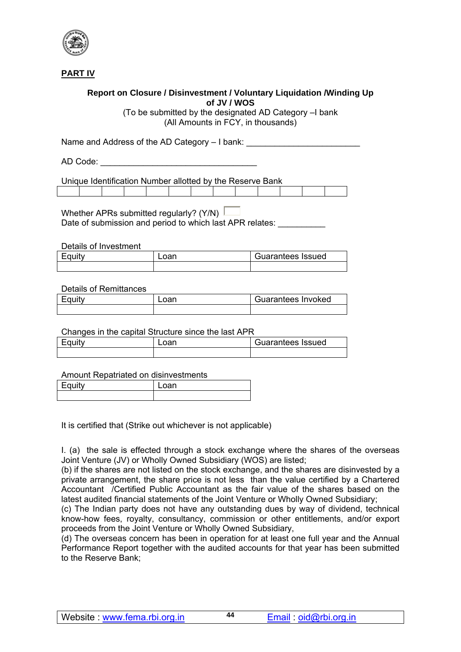

**PART IV**

## **Report on Closure / Disinvestment / Voluntary Liquidation /Winding Up of JV / WOS**

(To be submitted by the designated AD Category –I bank (All Amounts in FCY, in thousands)

Name and Address of the AD Category – I bank:

AD Code:  $\blacksquare$ 

Unique Identification Number allotted by the Reserve Bank

Whether APRs submitted regularly? (Y/N) Date of submission and period to which last APR relates:

Details of Investment

| Equity | Guarantees Issued |
|--------|-------------------|
|        |                   |

#### Details of Remittances

| Equity | Loan | Guarantees Invoked |  |
|--------|------|--------------------|--|
|        |      |                    |  |

#### Changes in the capital Structure since the last APR

| Fauity | oan | Guarantees Issued |
|--------|-----|-------------------|
|        |     |                   |

#### Amount Repatriated on disinvestments

| <b>Contract Contract Contract</b> | $\overline{\phantom{a}}$ |
|-----------------------------------|--------------------------|
|                                   |                          |

It is certified that (Strike out whichever is not applicable)

I. (a) the sale is effected through a stock exchange where the shares of the overseas Joint Venture (JV) or Wholly Owned Subsidiary (WOS) are listed;

(b) if the shares are not listed on the stock exchange, and the shares are disinvested by a private arrangement, the share price is not less than the value certified by a Chartered Accountant /Certified Public Accountant as the fair value of the shares based on the latest audited financial statements of the Joint Venture or Wholly Owned Subsidiary;

(c) The Indian party does not have any outstanding dues by way of dividend, technical know-how fees, royalty, consultancy, commission or other entitlements, and/or export proceeds from the Joint Venture or Wholly Owned Subsidiary,

(d) The overseas concern has been in operation for at least one full year and the Annual Performance Report together with the audited accounts for that year has been submitted to the Reserve Bank;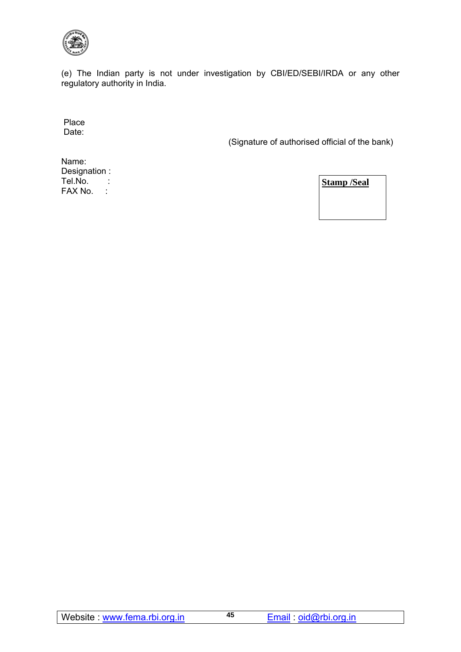

(e) The Indian party is not under investigation by CBI/ED/SEBI/IRDA or any other regulatory authority in India.

 Place Date:

(Signature of authorised official of the bank)

Name: Designation : Tel.No. : FAX No. :

**Stamp /Seal**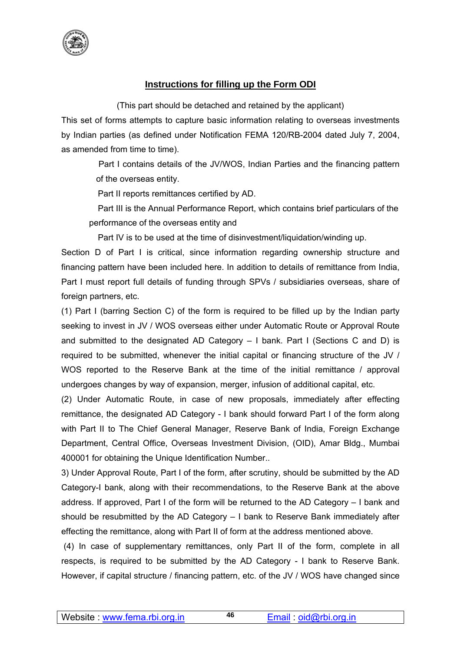

## **Instructions for filling up the Form ODI**

(This part should be detached and retained by the applicant)

This set of forms attempts to capture basic information relating to overseas investments by Indian parties (as defined under Notification FEMA 120/RB-2004 dated July 7, 2004, as amended from time to time).

> Part I contains details of the JV/WOS, Indian Parties and the financing pattern of the overseas entity.

Part II reports remittances certified by AD.

 Part III is the Annual Performance Report, which contains brief particulars of the performance of the overseas entity and

Part IV is to be used at the time of disinvestment/liquidation/winding up.

Section D of Part I is critical, since information regarding ownership structure and financing pattern have been included here. In addition to details of remittance from India, Part I must report full details of funding through SPVs / subsidiaries overseas, share of foreign partners, etc.

(1) Part I (barring Section C) of the form is required to be filled up by the Indian party seeking to invest in JV / WOS overseas either under Automatic Route or Approval Route and submitted to the designated AD Category – I bank. Part I (Sections C and D) is required to be submitted, whenever the initial capital or financing structure of the JV / WOS reported to the Reserve Bank at the time of the initial remittance / approval undergoes changes by way of expansion, merger, infusion of additional capital, etc.

(2) Under Automatic Route, in case of new proposals, immediately after effecting remittance, the designated AD Category - I bank should forward Part I of the form along with Part II to The Chief General Manager, Reserve Bank of India, Foreign Exchange Department, Central Office, Overseas Investment Division, (OID), Amar Bldg., Mumbai 400001 for obtaining the Unique Identification Number..

3) Under Approval Route, Part I of the form, after scrutiny, should be submitted by the AD Category-I bank, along with their recommendations, to the Reserve Bank at the above address. If approved, Part I of the form will be returned to the AD Category – I bank and should be resubmitted by the AD Category – I bank to Reserve Bank immediately after effecting the remittance, along with Part II of form at the address mentioned above.

 (4) In case of supplementary remittances, only Part II of the form, complete in all respects, is required to be submitted by the AD Category - I bank to Reserve Bank. However, if capital structure / financing pattern, etc. of the JV / WOS have changed since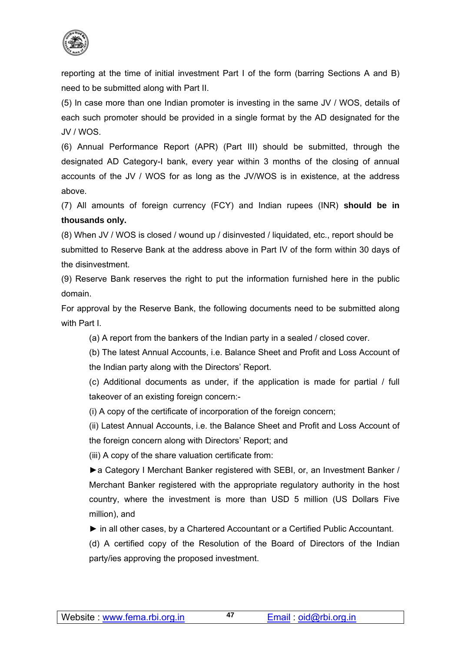

reporting at the time of initial investment Part I of the form (barring Sections A and B) need to be submitted along with Part II.

(5) In case more than one Indian promoter is investing in the same JV / WOS, details of each such promoter should be provided in a single format by the AD designated for the JV / WOS.

(6) Annual Performance Report (APR) (Part III) should be submitted, through the designated AD Category-I bank, every year within 3 months of the closing of annual accounts of the JV / WOS for as long as the JV/WOS is in existence, at the address above.

(7) All amounts of foreign currency (FCY) and Indian rupees (INR) **should be in thousands only.** 

(8) When JV / WOS is closed / wound up / disinvested / liquidated, etc., report should be submitted to Reserve Bank at the address above in Part IV of the form within 30 days of the disinvestment.

(9) Reserve Bank reserves the right to put the information furnished here in the public domain.

For approval by the Reserve Bank, the following documents need to be submitted along with Part I.

(a) A report from the bankers of the Indian party in a sealed / closed cover.

(b) The latest Annual Accounts, i.e. Balance Sheet and Profit and Loss Account of the Indian party along with the Directors' Report.

(c) Additional documents as under, if the application is made for partial / full takeover of an existing foreign concern:-

(i) A copy of the certificate of incorporation of the foreign concern;

(ii) Latest Annual Accounts, i.e. the Balance Sheet and Profit and Loss Account of the foreign concern along with Directors' Report; and

(iii) A copy of the share valuation certificate from:

►a Category I Merchant Banker registered with SEBI, or, an Investment Banker / Merchant Banker registered with the appropriate regulatory authority in the host country, where the investment is more than USD 5 million (US Dollars Five million), and

*►* in all other cases, by a Chartered Accountant or a Certified Public Accountant.

(d) A certified copy of the Resolution of the Board of Directors of the Indian party/ies approving the proposed investment.